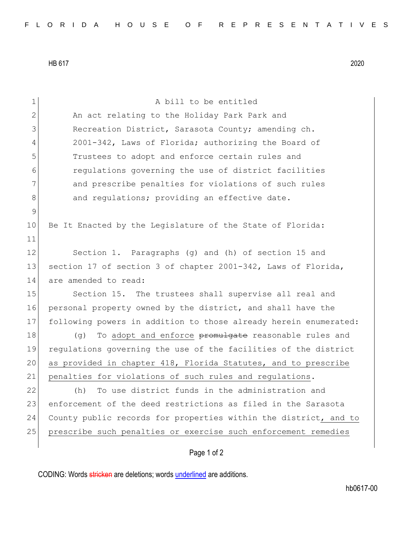HB 617 2020

| 1              | A bill to be entitled                                            |
|----------------|------------------------------------------------------------------|
| 2              | An act relating to the Holiday Park Park and                     |
| 3              | Recreation District, Sarasota County; amending ch.               |
| $\overline{4}$ | 2001-342, Laws of Florida; authorizing the Board of              |
| 5              | Trustees to adopt and enforce certain rules and                  |
| 6              | regulations governing the use of district facilities             |
| 7              | and prescribe penalties for violations of such rules             |
| 8              | and regulations; providing an effective date.                    |
| 9              |                                                                  |
| 10             | Be It Enacted by the Legislature of the State of Florida:        |
| 11             |                                                                  |
| 12             | Section 1. Paragraphs (g) and (h) of section 15 and              |
| 13             | section 17 of section 3 of chapter 2001-342, Laws of Florida,    |
| 14             | are amended to read:                                             |
| 15             | Section 15. The trustees shall supervise all real and            |
| 16             | personal property owned by the district, and shall have the      |
| 17             | following powers in addition to those already herein enumerated: |
| 18             | To adopt and enforce promulgate reasonable rules and<br>(q)      |
| 19             | regulations governing the use of the facilities of the district  |
| 20             | as provided in chapter 418, Florida Statutes, and to prescribe   |
| 21             | penalties for violations of such rules and regulations.          |
| 22             | To use district funds in the administration and<br>(h)           |
| 23             | enforcement of the deed restrictions as filed in the Sarasota    |
| 24             | County public records for properties within the district, and to |
| 25             | prescribe such penalties or exercise such enforcement remedies   |
|                |                                                                  |

## Page 1 of 2

CODING: Words stricken are deletions; words underlined are additions.